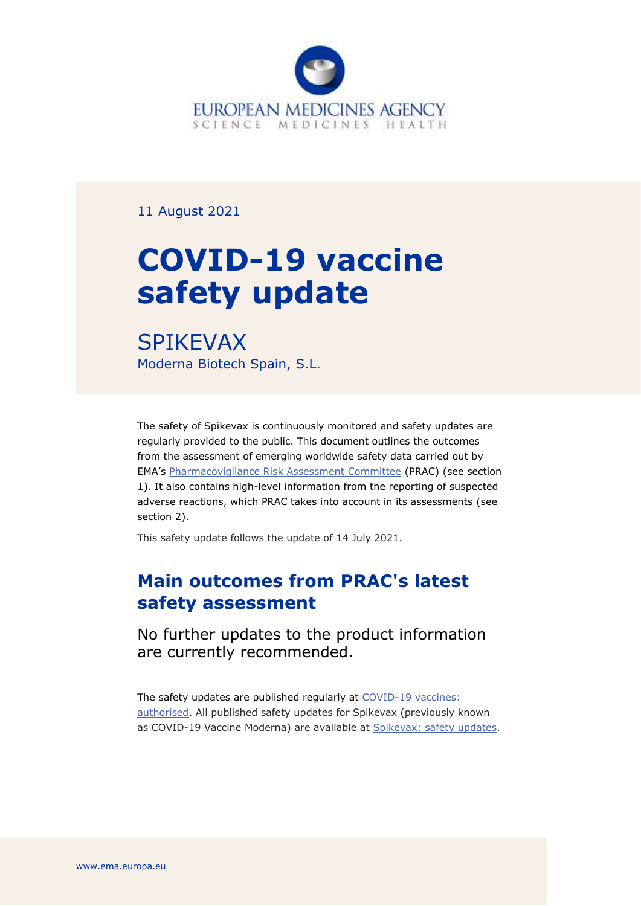

11 August 2021

# **COVID-19 vaccine safety update**

SPIKEVAX Moderna Biotech Spain, S.L.

The safety of Spikevax is continuously monitored and safety updates are regularly provided to the public. This document outlines the outcomes from the assessment of emerging worldwide safety data carried out by EMA's [Pharmacovigilance Risk Assessment Committee](https://www.ema.europa.eu/en/committees/pharmacovigilance-risk-assessment-committee-prac) (PRAC) (see section 1). It also contains high-level information from the reporting of suspected adverse reactions, which PRAC takes into account in its assessments (see section 2).

This safety update follows the update of 14 July 2021.

# **Main outcomes from PRAC's latest safety assessment**

No further updates to the product information are currently recommended.

The safety updates are published regularly at COVID-19 vaccines: [authorised.](https://www.ema.europa.eu/en/human-regulatory/overview/public-health-threats/coronavirus-disease-covid-19/treatments-vaccines/vaccines-covid-19/covid-19-vaccines-authorised#safety-updates-for-authorised-covid-19-vaccines-section) All published safety updates for Spikevax (previously known as COVID-19 Vaccine Moderna) are available at Spikevax: [safety updates.](https://www.ema.europa.eu/en/medicines/human/EPAR/covid-19-vaccine-moderna#safety-updates-section)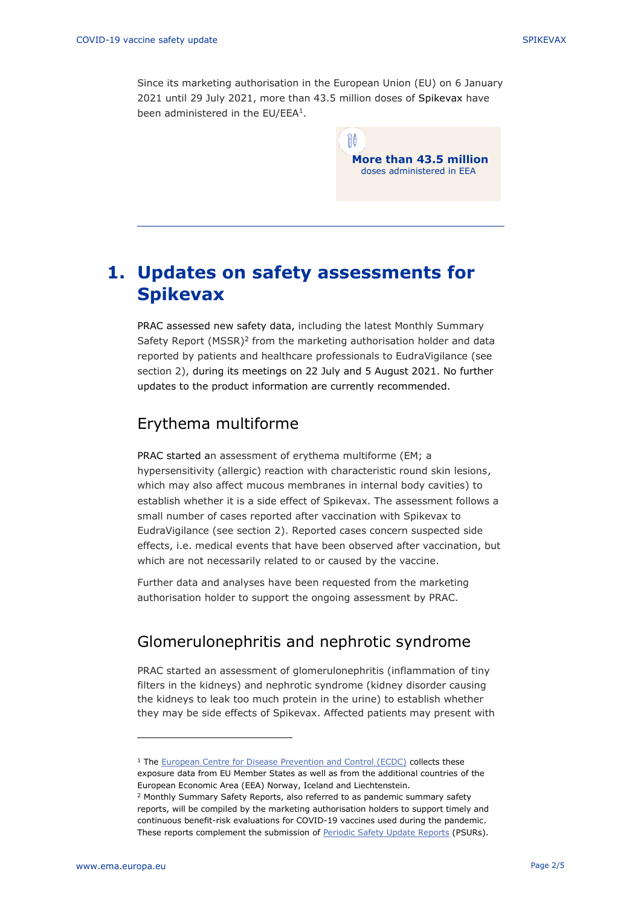Since its marketing authorisation in the European Union (EU) on 6 January 2021 until 29 July 2021, more than 43.5 million doses of Spikevax have been administered in the EU/EEA<sup>1</sup>.

> Ħô **More than 43.5 million** doses administered in EEA

## **1. Updates on safety assessments for Spikevax**

PRAC assessed new safety data, including the latest Monthly Summary Safety Report (MSSR)<sup>2</sup> from the marketing authorisation holder and data reported by patients and healthcare professionals to EudraVigilance (see section 2), during its meetings on 22 July and 5 August 2021. No further updates to the product information are currently recommended.

### Erythema multiforme

PRAC started an assessment of erythema multiforme (EM; a hypersensitivity (allergic) reaction with characteristic round skin lesions, which may also affect mucous membranes in internal body cavities) to establish whether it is a side effect of Spikevax. The assessment follows a small number of cases reported after vaccination with Spikevax to EudraVigilance (see section 2). Reported cases concern suspected side effects, i.e. medical events that have been observed after vaccination, but which are not necessarily related to or caused by the vaccine.

Further data and analyses have been requested from the marketing authorisation holder to support the ongoing assessment by PRAC.

## Glomerulonephritis and nephrotic syndrome

PRAC started an assessment of glomerulonephritis (inflammation of tiny filters in the kidneys) and nephrotic syndrome (kidney disorder causing the kidneys to leak too much protein in the urine) to establish whether they may be side effects of Spikevax. Affected patients may present with

<sup>&</sup>lt;sup>1</sup> The [European Centre for Disease Prevention and Control \(ECDC\)](https://qap.ecdc.europa.eu/public/extensions/COVID-19/vaccine-tracker.html#uptake-tab) collects these exposure data from EU Member States as well as from the additional countries of the European Economic Area (EEA) Norway, Iceland and Liechtenstein.

<sup>2</sup> Monthly Summary Safety Reports, also referred to as pandemic summary safety reports, will be compiled by the marketing authorisation holders to support timely and continuous benefit-risk evaluations for COVID-19 vaccines used during the pandemic. These reports complement the submission of [Periodic Safety Update Reports](https://www.ema.europa.eu/en/human-regulatory/post-authorisation/pharmacovigilance/periodic-safety-update-reports-psurs) (PSURs).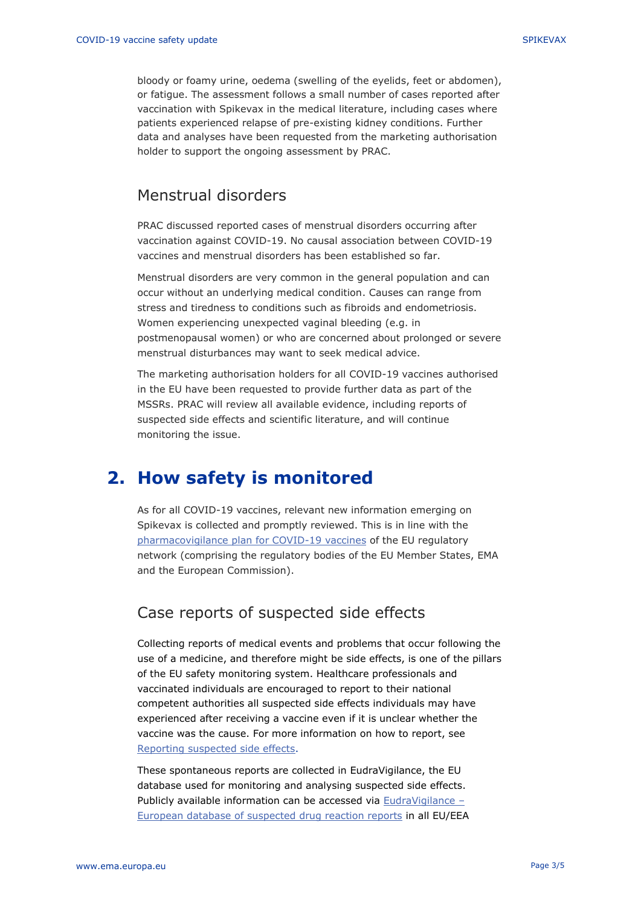bloody or foamy urine, oedema (swelling of the eyelids, feet or abdomen), or fatigue. The assessment follows a small number of cases reported after vaccination with Spikevax in the medical literature, including cases where patients experienced relapse of pre-existing kidney conditions. Further data and analyses have been requested from the marketing authorisation holder to support the ongoing assessment by PRAC.

#### Menstrual disorders

PRAC discussed reported cases of menstrual disorders occurring after vaccination against COVID-19. No causal association between COVID-19 vaccines and menstrual disorders has been established so far.

Menstrual disorders are very common in the general population and can occur without an underlying medical condition. Causes can range from stress and tiredness to conditions such as fibroids and endometriosis. Women experiencing unexpected vaginal bleeding (e.g. in postmenopausal women) or who are concerned about prolonged or severe menstrual disturbances may want to seek medical advice.

The marketing authorisation holders for all COVID-19 vaccines authorised in the EU have been requested to provide further data as part of the MSSRs. PRAC will review all available evidence, including reports of suspected side effects and scientific literature, and will continue monitoring the issue.

## **2. How safety is monitored**

As for all COVID-19 vaccines, relevant new information emerging on Spikevax is collected and promptly reviewed. This is in line with the [pharmacovigilance plan for COVID-19 vaccines](https://www.ema.europa.eu/en/human-regulatory/overview/public-health-threats/coronavirus-disease-covid-19/treatments-vaccines/treatments-vaccines-covid-19-post-authorisation#covid-19-vaccines:-pharmacovigilance-plan-section) of the EU regulatory network (comprising the regulatory bodies of the EU Member States, EMA and the European Commission).

#### Case reports of suspected side effects

Collecting reports of medical events and problems that occur following the use of a medicine, and therefore might be side effects, is one of the pillars of the EU safety monitoring system. Healthcare professionals and vaccinated individuals are encouraged to report to their national competent authorities all suspected side effects individuals may have experienced after receiving a vaccine even if it is unclear whether the vaccine was the cause. For more information on how to report, see [Reporting suspected side effects.](https://www.ema.europa.eu/en/human-regulatory/overview/public-health-threats/coronavirus-disease-covid-19/public-health-advice-during-covid-19-pandemic#reporting-suspected-side-effects-section)

These spontaneous reports are collected in EudraVigilance, the EU database used for monitoring and analysing suspected side effects. Publicly available information can be accessed via [EudraVigilance](https://www.adrreports.eu/en/index.html) – [European database of suspected drug reaction reports](https://www.adrreports.eu/en/index.html) in all EU/EEA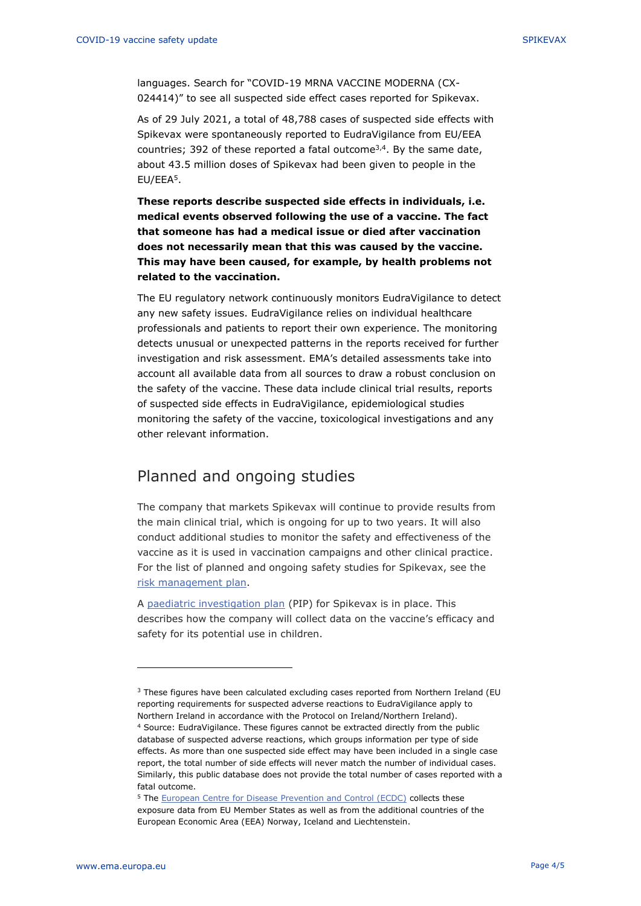languages. Search for "COVID-19 MRNA VACCINE MODERNA (CX-024414)" to see all suspected side effect cases reported for Spikevax.

As of 29 July 2021, a total of 48,788 cases of suspected side effects with Spikevax were spontaneously reported to EudraVigilance from EU/EEA countries; 392 of these reported a fatal outcome<sup>3,4</sup>. By the same date, about 43.5 million doses of Spikevax had been given to people in the EU/EEA<sup>5</sup>.

**These reports describe suspected side effects in individuals, i.e. medical events observed following the use of a vaccine. The fact that someone has had a medical issue or died after vaccination does not necessarily mean that this was caused by the vaccine. This may have been caused, for example, by health problems not related to the vaccination.**

The EU regulatory network continuously monitors EudraVigilance to detect any new safety issues. EudraVigilance relies on individual healthcare professionals and patients to report their own experience. The monitoring detects unusual or unexpected patterns in the reports received for further investigation and risk assessment. EMA's detailed assessments take into account all available data from all sources to draw a robust conclusion on the safety of the vaccine. These data include clinical trial results, reports of suspected side effects in EudraVigilance, epidemiological studies monitoring the safety of the vaccine, toxicological investigations and any other relevant information.

#### Planned and ongoing studies

The company that markets Spikevax will continue to provide results from the main clinical trial, which is ongoing for up to two years. It will also conduct additional studies to monitor the safety and effectiveness of the vaccine as it is used in vaccination campaigns and other clinical practice. For the list of planned and ongoing safety studies for Spikevax, see the [risk management plan.](https://www.ema.europa.eu/en/documents/rmp-summary/covid-19-vaccine-moderna-epar-risk-management-plan_en.pdf)

A [paediatric investigation plan](https://www.ema.europa.eu/en/medicines/human/paediatric-investigation-plans/emea-002893-pip01-20) (PIP) for Spikevax is in place. This describes how the company will collect data on the vaccine's efficacy and safety for its potential use in children.

<sup>&</sup>lt;sup>3</sup> These figures have been calculated excluding cases reported from Northern Ireland (EU reporting requirements for suspected adverse reactions to EudraVigilance apply to Northern Ireland in accordance with the Protocol on Ireland/Northern Ireland).

<sup>4</sup> Source: EudraVigilance. These figures cannot be extracted directly from the public database of suspected adverse reactions, which groups information per type of side effects. As more than one suspected side effect may have been included in a single case report, the total number of side effects will never match the number of individual cases. Similarly, this public database does not provide the total number of cases reported with a fatal outcome.

<sup>&</sup>lt;sup>5</sup> The [European Centre for Disease Prevention and Control \(ECDC\)](https://qap.ecdc.europa.eu/public/extensions/COVID-19/vaccine-tracker.html#uptake-tab) collects these exposure data from EU Member States as well as from the additional countries of the European Economic Area (EEA) Norway, Iceland and Liechtenstein.